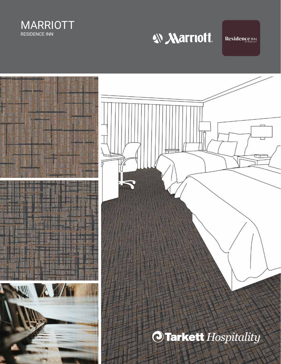

W Marriott.

**Residence INN** 

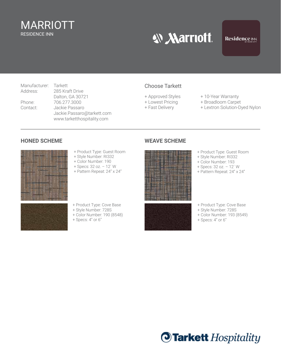#### MARRIOTT RESIDENCE INN

## **W Marriott.**

Manufacturer: Tarkett<br>Address: 285 Kra 285 Kraft Drive Dalton, GA 30721 Phone: 706.277.3000 Contact: Jackie Passaro Jackie.Passaro@tarkett.com www.tarketthospitality.com

#### Choose Tarkett

- 
- 
- 
- + Approved Styles + 10-Year Warranty<br>+ Lowest Pricing + Broadloom Carpet
	- + Broadloom Carpet
- + Fast Delivery + Lextron Solution-Dyed Nylon

#### **HONED SCHEME WEAVE SCHEME**



- + Product Type: Guest Room
- + Style Number: RI332
- + Color Number: 190
- + Specs: 32 oz. 12´ W
- + Pattern Repeat: 24" x 24"



- + Product Type: Guest Room
- + Style Number: RI332
- + Color Number: 193
- + Specs: 32 oz. 12´ W
- + Pattern Repeat: 24" x 24"

- + Product Type: Cove Base
- + Style Number: 728S
- + Color Number: 190 (8548)
- + Specs: 4" or 6"

- + Product Type: Cove Base
- + Style Number: 728S
- + Color Number: 193 (8549)
- + Specs: 4" or 6"

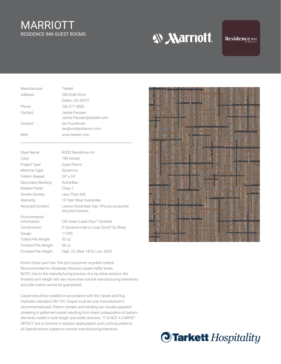## MARRIOTT RESIDENCE INN GUEST ROOMS

**W Marriott.** 

#### Residence INN

| Manufacturer: | Tarkett                                      |
|---------------|----------------------------------------------|
| Address:      | 285 Kraft Drive                              |
|               | Dalton, GA 30721                             |
| Phone:        | 706.277.3000                                 |
| Contact:      | Jackie Passaro<br>Jackie.Passaro@tarkett.com |
| Contact:      | lan Fruchtman<br>lan@scottjordaninc.com      |
| Web:          | www.tarkett.com                              |

| Style Name:           | RI332 Residence Inn                                          |
|-----------------------|--------------------------------------------------------------|
| Color:                | 190 Honed                                                    |
| Project Type:         | Guest Room                                                   |
| Machine Type:         | Dynamics                                                     |
| Pattern Repeat:       | $24'' \times 24''$                                           |
| Secondary Backing:    | ActionBac                                                    |
| Radiant Panel:        | Class 1                                                      |
| Smoke Density:        | Less Than 450                                                |
| Warranty:             | 10 Year Wear Guarantee                                       |
| Recycled Content:     | Lextron Essentials has 10% pre-consumer<br>recycled content. |
| Environmental         |                                                              |
| Information:          | CRI Green Label Plus™ Certified                              |
| Construction:         | D Dynamics-Servo Loop Scroll Tip Shear                       |
| Gauge:                | $1/10$ th                                                    |
| Tufted Pile Weight:   | 320z                                                         |
| Finished Pile Weight: | 68 oz.                                                       |
| Finished Pile Height: | High .25, Med .1875, Low .0625                               |

Enviro-Green yarn has 10% pre-consumer recycled content. Recommended for Moderate (Rooms) carpet traffic levels. NOTE: Due to the manufacturing process of a tip shear product, the finished yarn weight will vary more than normal manufacturing tolerances and side match cannot be guaranteed.

Carpet should be installed in accordance with the Carpet and Rug Institute's standard CRI-104. Carpet must be over manufacturer's recommended pad. Pattern streaks and banding are visually apparent streaking in patterned carpet resulting from linear juxtaposition of pattern elements visible in both length and width direction. IT IS NOT A CARPET DEFECT, but is inherent in solution dyed graphic and cut/loop patterns. All Specifications subject to normal manufacturing tolerance.



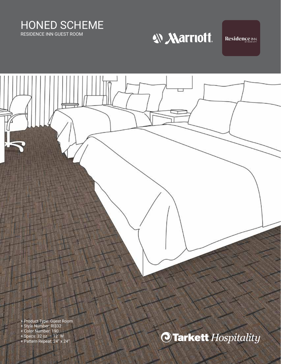HONED SCHEME RESIDENCE INN GUEST ROOM

# W Marriott.

**Residence INN** 

+ Product Type: Guest Room + Style Number: RI332 + Color Number: 190 **Tarkett** Hospitality + Specs: 32 oz. – 12´ W + Pattern Repeat: 24" x 24"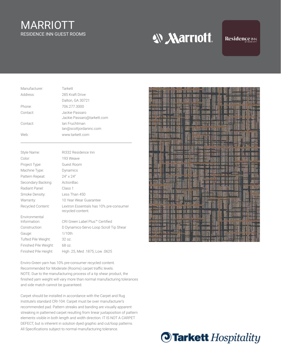## MARRIOTT RESIDENCE INN GUEST ROOMS

**W Marriott.** 

#### Residence INN

| Manufacturer: | Tarkett                                      |
|---------------|----------------------------------------------|
| Address:      | 285 Kraft Drive                              |
|               | Dalton, GA 30721                             |
| Phone:        | 706.277.3000                                 |
| Contact:      | Jackie Passaro<br>Jackie.Passaro@tarkett.com |
| Contact:      | lan Fruchtman<br>lan@scottjordaninc.com      |
| Web:          | www.tarkett.com                              |

| Style Name:           | RI332 Residence Inn                                          |
|-----------------------|--------------------------------------------------------------|
| Color:                | 193 Weave                                                    |
| Project Type:         | Guest Room                                                   |
| Machine Type:         | Dynamics                                                     |
| Pattern Repeat:       | $24'' \times 24''$                                           |
| Secondary Backing:    | ActionBac                                                    |
| Radiant Panel:        | Class 1                                                      |
| Smoke Density:        | Less Than 450                                                |
| Warranty:             | 10 Year Wear Guarantee                                       |
| Recycled Content:     | Lextron Essentials has 10% pre-consumer<br>recycled content. |
| Environmental         |                                                              |
| Information:          | CRI Green Label Plus™ Certified                              |
| Construction:         | D Dynamics-Servo Loop Scroll Tip Shear                       |
| Gauge:                | $1/10$ th                                                    |
| Tufted Pile Weight:   | 320z                                                         |
| Finished Pile Weight: | 68 oz.                                                       |
| Finished Pile Height: | High .25, Med .1875, Low .0625                               |

Enviro-Green yarn has 10% pre-consumer recycled content. Recommended for Moderate (Rooms) carpet traffic levels. NOTE: Due to the manufacturing process of a tip shear product, the finished yarn weight will vary more than normal manufacturing tolerances and side match cannot be guaranteed.

Carpet should be installed in accordance with the Carpet and Rug Institute's standard CRI-104. Carpet must be over manufacturer's recommended pad. Pattern streaks and banding are visually apparent streaking in patterned carpet resulting from linear juxtaposition of pattern elements visible in both length and width direction. IT IS NOT A CARPET DEFECT, but is inherent in solution dyed graphic and cut/loop patterns. All Specifications subject to normal manufacturing tolerance.